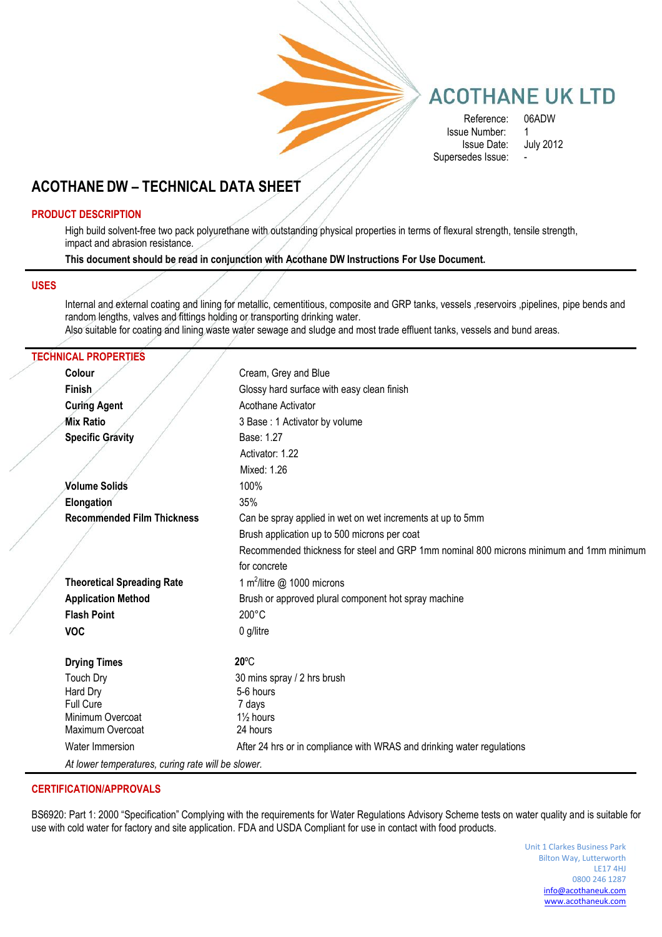

## **ACOTHANE UK LTD**

Reference: 06ADW<br>e Number: 1 Issue Number: 1 Issue Date: July 2012 Supersedes Issue:

## **ACOTHANE DW – TECHNICAL DATA SHEET**

#### **PRODUCT DESCRIPTION**

High build solvent-free two pack polyurethane with outstanding physical properties in terms of flexural strength, tensile strength, impact and abrasion resistance.

**This document should be read in conjunction with Acothane DW Instructions For Use Document.**

#### **USES**

Internal and external coating and lining for metallic, cementitious, composite and GRP tanks, vessels ,reservoirs ,pipelines, pipe bends and random lengths, valves and fittings holding or transporting drinking water.

Also suitable for coating and lining waste water sewage and sludge and most trade effluent tanks, vessels and bund areas.

#### **TECHNICAL PROPERTIES**

| Colour                                             | Cream, Grey and Blue                                                                    |
|----------------------------------------------------|-----------------------------------------------------------------------------------------|
| Finish                                             | Glossy hard surface with easy clean finish                                              |
| <b>Curing Agent</b>                                | Acothane Activator                                                                      |
| Mix Ratio                                          | 3 Base: 1 Activator by volume                                                           |
| <b>Specific Gravity</b>                            | Base: 1.27                                                                              |
|                                                    | Activator: 1.22                                                                         |
|                                                    | Mixed: 1.26                                                                             |
| <b>Volume Solids</b>                               | 100%                                                                                    |
| Elongation                                         | 35%                                                                                     |
| <b>Recommended Film Thickness</b>                  | Can be spray applied in wet on wet increments at up to 5mm                              |
|                                                    | Brush application up to 500 microns per coat                                            |
|                                                    | Recommended thickness for steel and GRP 1mm nominal 800 microns minimum and 1mm minimum |
|                                                    | for concrete                                                                            |
| <b>Theoretical Spreading Rate</b>                  | 1 m <sup>2</sup> /litre @ 1000 microns                                                  |
| <b>Application Method</b>                          | Brush or approved plural component hot spray machine                                    |
| <b>Flash Point</b>                                 | $200^{\circ}$ C                                                                         |
| <b>VOC</b>                                         | 0 g/litre                                                                               |
| <b>Drying Times</b>                                | $20^{\circ}$ C                                                                          |
| <b>Touch Dry</b>                                   | 30 mins spray / 2 hrs brush                                                             |
| Hard Dry                                           | 5-6 hours                                                                               |
| Full Cure                                          | 7 days                                                                                  |
| Minimum Overcoat                                   | $1\frac{1}{2}$ hours                                                                    |
| Maximum Overcoat                                   | 24 hours                                                                                |
| Water Immersion                                    | After 24 hrs or in compliance with WRAS and drinking water regulations                  |
| At lower temperatures, curing rate will be slower. |                                                                                         |
|                                                    |                                                                                         |

#### **CERTIFICATION/APPROVALS**

BS6920: Part 1: 2000 "Specification" Complying with the requirements for Water Regulations Advisory Scheme tests on water quality and is suitable for use with cold water for factory and site application. FDA and USDA Compliant for use in contact with food products.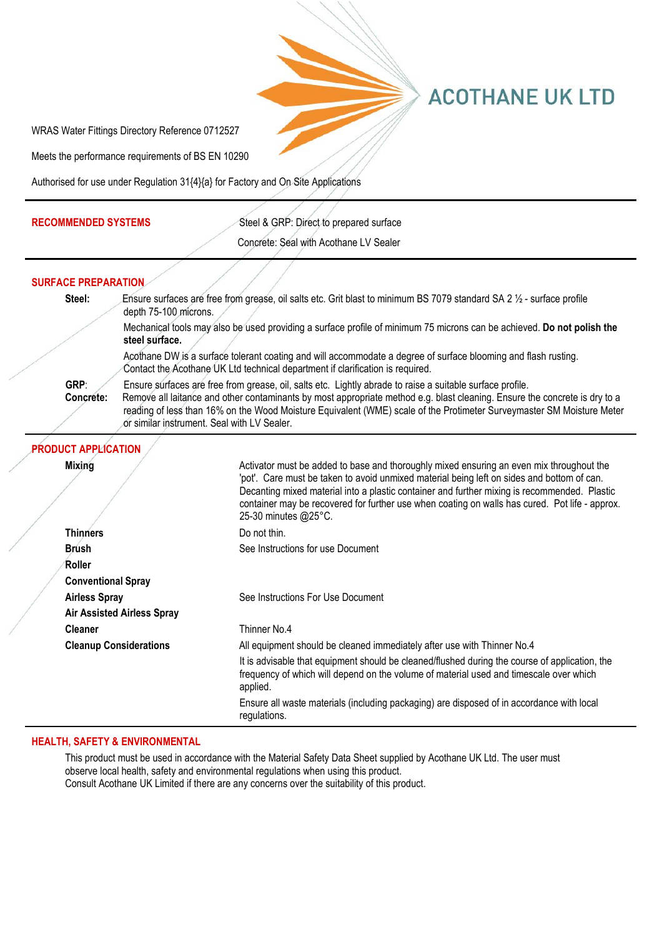

# **ACOTHANE UK LTD**

WRAS Water Fittings Directory Reference 0712527

Meets the performance requirements of BS EN 10290

Authorised for use under Regulation 31{4}{a} for Factory and On Site Applications

**RECOMMENDED SYSTEMS** Steel & GRP: Direct to prepared surface

| Concrete: Seal with Acothane LV Sealer |
|----------------------------------------|
|                                        |

|  | <b>SURFACE PREPARATION</b> |                                                                                                                                                                                                                                                                                                                                                                                                                 |                                                                                                                                                                                                                                                                                                                                                                                                                  |  |
|--|----------------------------|-----------------------------------------------------------------------------------------------------------------------------------------------------------------------------------------------------------------------------------------------------------------------------------------------------------------------------------------------------------------------------------------------------------------|------------------------------------------------------------------------------------------------------------------------------------------------------------------------------------------------------------------------------------------------------------------------------------------------------------------------------------------------------------------------------------------------------------------|--|
|  | Steel:                     | depth 75-100 microns.                                                                                                                                                                                                                                                                                                                                                                                           | Ensure surfaces are free from grease, oil salts etc. Grit blast to minimum BS 7079 standard SA 2 1/2 - surface profile                                                                                                                                                                                                                                                                                           |  |
|  |                            | steel surface.                                                                                                                                                                                                                                                                                                                                                                                                  | Mechanical tools may also be used providing a surface profile of minimum 75 microns can be achieved. Do not polish the                                                                                                                                                                                                                                                                                           |  |
|  |                            | Acothane DW is a surface tolerant coating and will accommodate a degree of surface blooming and flash rusting.<br>Contact the Acothane UK Ltd technical department if clarification is required.                                                                                                                                                                                                                |                                                                                                                                                                                                                                                                                                                                                                                                                  |  |
|  | GRP:<br>Concrete:          | Ensure surfaces are free from grease, oil, salts etc. Lightly abrade to raise a suitable surface profile.<br>Remove all laitance and other contaminants by most appropriate method e.g. blast cleaning. Ensure the concrete is dry to a<br>reading of less than 16% on the Wood Moisture Equivalent (WME) scale of the Protimeter Surveymaster SM Moisture Meter<br>or similar instrument. Seal with LV Sealer. |                                                                                                                                                                                                                                                                                                                                                                                                                  |  |
|  | <b>PRODUCT APPLICATION</b> |                                                                                                                                                                                                                                                                                                                                                                                                                 |                                                                                                                                                                                                                                                                                                                                                                                                                  |  |
|  | <b>Mixing</b>              |                                                                                                                                                                                                                                                                                                                                                                                                                 | Activator must be added to base and thoroughly mixed ensuring an even mix throughout the<br>'pot'. Care must be taken to avoid unmixed material being left on sides and bottom of can.<br>Decanting mixed material into a plastic container and further mixing is recommended. Plastic<br>container may be recovered for further use when coating on walls has cured. Pot life - approx.<br>25-30 minutes @25°C. |  |
|  | <b>Thinners</b>            |                                                                                                                                                                                                                                                                                                                                                                                                                 | Do not thin.                                                                                                                                                                                                                                                                                                                                                                                                     |  |
|  | <b>Brush</b><br>Roller     |                                                                                                                                                                                                                                                                                                                                                                                                                 | See Instructions for use Document                                                                                                                                                                                                                                                                                                                                                                                |  |
|  | <b>Conventional Spray</b>  |                                                                                                                                                                                                                                                                                                                                                                                                                 |                                                                                                                                                                                                                                                                                                                                                                                                                  |  |
|  | <b>Airless Spray</b>       | <b>Air Assisted Airless Spray</b>                                                                                                                                                                                                                                                                                                                                                                               | See Instructions For Use Document                                                                                                                                                                                                                                                                                                                                                                                |  |
|  | <b>Cleaner</b>             |                                                                                                                                                                                                                                                                                                                                                                                                                 | Thinner No.4                                                                                                                                                                                                                                                                                                                                                                                                     |  |
|  |                            | <b>Cleanup Considerations</b>                                                                                                                                                                                                                                                                                                                                                                                   | All equipment should be cleaned immediately after use with Thinner No.4                                                                                                                                                                                                                                                                                                                                          |  |
|  |                            |                                                                                                                                                                                                                                                                                                                                                                                                                 | It is advisable that equipment should be cleaned/flushed during the course of application, the<br>frequency of which will depend on the volume of material used and timescale over which<br>applied.                                                                                                                                                                                                             |  |
|  |                            |                                                                                                                                                                                                                                                                                                                                                                                                                 | Ensure all waste materials (including packaging) are disposed of in accordance with local<br>regulations.                                                                                                                                                                                                                                                                                                        |  |

### **HEALTH, SAFETY & ENVIRONMENTAL**

This product must be used in accordance with the Material Safety Data Sheet supplied by Acothane UK Ltd. The user must observe local health, safety and environmental regulations when using this product. Consult Acothane UK Limited if there are any concerns over the suitability of this product.